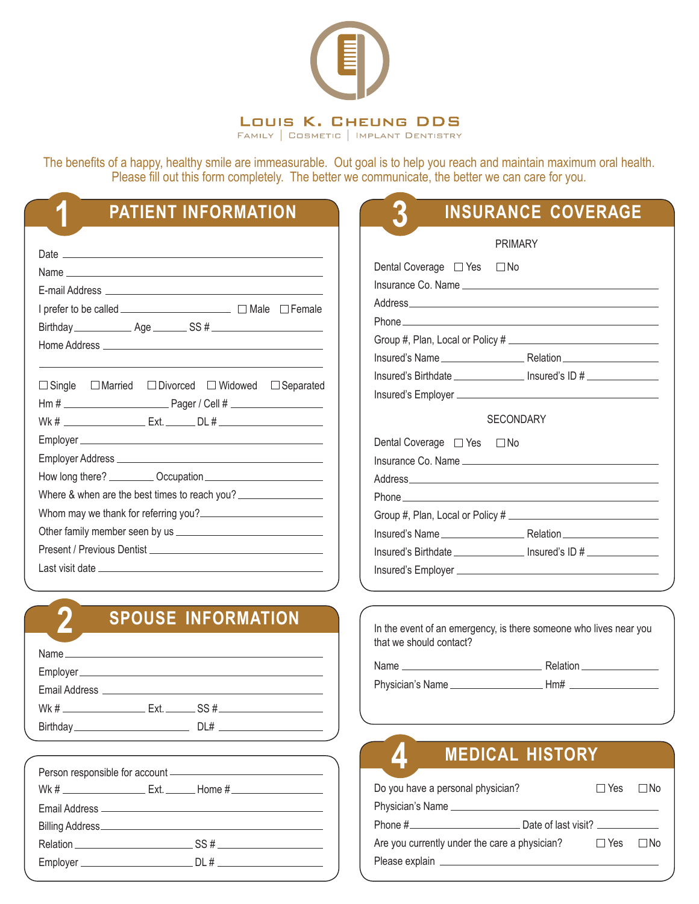

The benefits of a happy, healthy smile are immeasurable. Out goal is to help you reach and maintain maximum oral health. Please fill out this form completely. The better we communicate, the better we can care for you.

**3**

**1**

**2**

| E-mail Address and the contract of the contract of the contract of the contract of the contract of the contract of the contract of the contract of the contract of the contract of the contract of the contract of the contrac |
|--------------------------------------------------------------------------------------------------------------------------------------------------------------------------------------------------------------------------------|
| I prefer to be called _______________________ □ Male □ Female                                                                                                                                                                  |
|                                                                                                                                                                                                                                |
|                                                                                                                                                                                                                                |
|                                                                                                                                                                                                                                |
| $\Box$ Single $\Box$ Married $\Box$ Divorced $\Box$ Widowed $\Box$ Separated                                                                                                                                                   |
|                                                                                                                                                                                                                                |
|                                                                                                                                                                                                                                |
|                                                                                                                                                                                                                                |
|                                                                                                                                                                                                                                |
| How long there? Cocupation COMEX CONSERVERSE DETAILS                                                                                                                                                                           |
| Where & when are the best times to reach you?                                                                                                                                                                                  |
| Whom may we thank for referring you?                                                                                                                                                                                           |
|                                                                                                                                                                                                                                |
|                                                                                                                                                                                                                                |
|                                                                                                                                                                                                                                |
|                                                                                                                                                                                                                                |

### **SPOUSE INFORMATION**

| Email Address <b>Email</b> |                                 |
|----------------------------|---------------------------------|
|                            | Wk # $\qquad \qquad$ Ext. $SS#$ |
|                            | DI#                             |

|  |  | Wk # _____________________ Ext. ________ Home # __________________________ |  |  |
|--|--|----------------------------------------------------------------------------|--|--|
|  |  |                                                                            |  |  |
|  |  |                                                                            |  |  |
|  |  |                                                                            |  |  |
|  |  |                                                                            |  |  |

### **PATIENT INFORMATION 3** INSURANCE COVERAGE

|                            | <b>PRIMARY</b>                                                                   |
|----------------------------|----------------------------------------------------------------------------------|
| Dental Coverage □ Yes □ No |                                                                                  |
|                            |                                                                                  |
|                            |                                                                                  |
|                            |                                                                                  |
|                            | Group #, Plan, Local or Policy # $\sqrt{2}$                                      |
|                            |                                                                                  |
|                            | Insured's Birthdate __________________ Insured's ID # __________________________ |
|                            |                                                                                  |
|                            | <b>SECONDARY</b>                                                                 |
| Dental Coverage □ Yes □ No |                                                                                  |
|                            |                                                                                  |
|                            |                                                                                  |
|                            |                                                                                  |
|                            |                                                                                  |
|                            |                                                                                  |
|                            | Insured's Birthdate ________________ Insured's ID # _______________              |
|                            |                                                                                  |
|                            |                                                                                  |

| In the event of an emergency, is there someone who lives near you<br>that we should contact? |          |
|----------------------------------------------------------------------------------------------|----------|
| Name                                                                                         | Relation |

Physician's Name \_\_\_\_\_\_\_\_\_\_\_\_\_\_\_\_\_\_\_\_\_\_ Hm#

**4**

### **MEDICAL HISTORY**

| Do you have a personal physician?             |                     | ∣∣Yes IINo |      |
|-----------------------------------------------|---------------------|------------|------|
| Physician's Name                              |                     |            |      |
| Phone #                                       | Date of last visit? |            |      |
| Are you currently under the care a physician? |                     | $\Box$ Yes | ⊟ No |
| Please explain                                |                     |            |      |